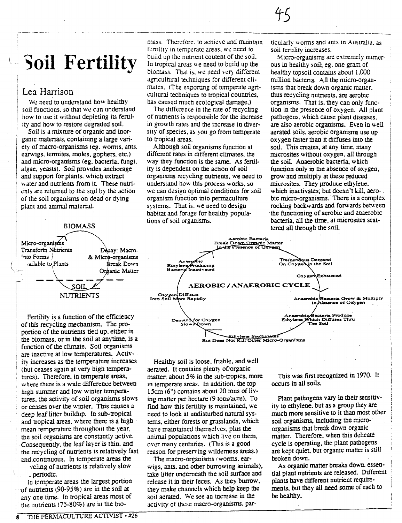# **Soil Fertility**

## Lea Harrison

We need to understand how healthy soil functions, so that we can understand how to use it without depleting its fertility and how to restore degraded soil.

Soil is a mixture of organic and inorganic materials, containing a large variety of macro-organisms (eg. worms, ants, earwigs, termites, moles, gophers, etc.) and micro-organisms (eg. bacteria, fungi, algae, yeasts). Soil provides anchorage and support for plants, which extract water and nutrients from it. These nutrients are returned to the soil by the action of the soil organisms on dead or dying plant and animal material.



Fertility is a function of the efficiency of this recycling mechanism. The proportion of the nutrients tied up, either in the biomass, or in the soil at anytime, is a function of the climate. Soil organisms are inactive at low temperatures. Activity increases as the temperature increases (but ceases again at very high temperatures). Therefore, in temperate areas, where there is a wide difference between high summer and low winter temperatures, the activity of soil organisms slows or ceases over the winter. This causes a deep leaf litter buildup. In sub-tropical and tropical areas, where there is a high mean temperature throughout the year, the soil organisms are constantly active. Consequently, the leaf layer is thin, and the recycling of nutrients is relatively fast and continuous. In temperate areas the

veling of nutrients is relatively slow , periodic.

In temperate areas the largest portion  $\sim$  of nutrients (90-95%) are in the soil at any one time. In tropical areas most of the nutrients (75-80%) are in the biomass. Therefore, to achieve and maintain fertility in temperate areas, we need to build up the nutrient content of the soil. In tropical areas we need to build up the biomass. That is, we need very different agricultural techniques for different climates. (The exporting of temperate agricultural techniques to tropical countries, has caused much ecological damage.)

The difference in the rate of recycling of nutrients is responsible for the increase in growth rates and the increase in diversity of species, as you go from temperate to tropical areas.

Although soil organisms function at different rates in different climates, the way they function is the same. As fertility is dependent on the action of soil organisms recycling nutrients, we need to understand how this process works, so we can design optimal conditions for soil organism function into permaculture systems. That is, we need to design habitat and forage for healthy populations of soil organisms.

ticularly worms and ants in Australia, as soil fertility increases.

Micro-organisms are extremely numerous in healthy soil; eg. one gram of healthy topsoil contains about 1,000 million bacteria. All the micro-organisms that break down organic matter, thus recycling nutrients, are aerobic organisms. That is, they can only function in the presence of oxygen. All plant pathogens, which cause plant diseases. are also aerobic organisms. Even in well aerated soils, aerobic organisms use up oxygen faster than it diffuses into the soil. This creates, at any time, many microsites without oxygen, all through the soil. Anaerobic bacteria, which function only in the absence of oxygen, grow and multiply at these reduced microsites. They produce ethylene, which inactivates, but doesn't kill, aerobic micro-organisms. There is a complex rocking backwards and forwards between the functioning of aerobic and anaerobic bacteria, all the time, at microsites scattered all through the soil.



Healthy soil is loose, friable, and well aerated. It contains plenty of organic matter, about 5% in the sub-tropics, more in temperate areas. In addition, the top 15cm (6") contains about 20 tons of living matter per hectare (9 tons/acre). To find how this fertility is maintained, we need to look at undisturbed natural systems, either forests or grasslands, which have maintained themselves, plus the animal populations which live on them, over many centuries. (This is a good reason for preserving wilderness areas.)

The macro-organisms (worms, earwigs, ants, and other burrowing animals), take litter underneath the soil surface and release it in their feces. As they burrow, they make channels which help keep the soil aerated. We see an increase in the activity of these macro-organisms, par-

This was first recognized in 1970. It occurs in all soils.

Plant pathogens vary in their sensitivity to ethylene, but as a group they are much more sensitive to it than most other soil organisms, including the microorganisms that break down organic matter. Therefore, when this delicate cycle is operating, the plant pathogens are kept quiet, but organic matter is still broken down.

As organic matter breaks down, essential plant nutrients are released. Different plants have different nutrient requirements, but they all need some of each to be healthy.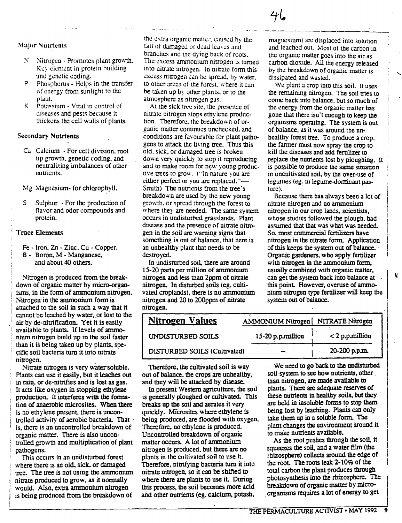- $\mathcal{N}$  -Nitrogen Promotes plant growth. Key clement in protein building and genetic coding.
- P Phosphorus Hdps in the transfer of energy from sunlight to the plant.
- $K$  Potassium Vital in control of diseases and pests because it. thickens the cell walls of plants.

### Secondary Nutrients

- Ca Calcium For cell division. root tip growth, genetic coding, and neutralizing imbalances of other nutrients.
- Mg Magnesium- for chlorophyll.
- S Sulphur For the production of flavor and odor compounds and protein.

#### Trace Elements

- Fe Iron. Zn Zinc. Cu Copper.
- B Boron. M Manganese. and about 40 others.

Nitrogen is produced from the breakdown of organic matter by micro-organisms. in the form of ammonium nitrogen. Nitrogen in the ammonium form is attached to the soil in such a way that it cannot be leached by water, or lost to the air by de-nitrification. Yet it is easily available to plants. If levels of ammonium nitrogen build up in the soil faster than it is being taken up by plants. specific soil bacteria turn it into nitrate nitrogen. ,

Nitrate nitrogen is very water-soluble. Plants can use it easily. but it leaches out in rain, or de-nitrifies and is lost as gas. It acts like oxygen in stopping ethylene production. It interferes with the fannation of anaerobic microsites. When there is no ethylene present, there is uncontrolled activity of aerobic bacteria. That ' is, there is an uncontrolled breakdown of organic matter. There is also uncontrolled growth and multiplication of plant pathogens.

This occurs in an undisturbed forest where there is an old. sick. or damaged tree. The tree is not using the ammonium nitrate produced to grow. as it normally would. Also. extra ammonium nitrogen is being produced from the breakdown of

the extra organic matter, caused by the fall of damaged or dead leaves and branches and the dying back of roots. The cxcess ammonium nitrogen is turned into nitrate nitrogen. In nitrate form this excess nitrogen can be spread, by water, to othcr areas of the forest. where it can be taken up by other plants. or to the atmosphere as nitrogen gas.

At the sick tree site, the presence of nitrate nitrogen stops ethylene production. Therefore. the breakdown of organic matter continues unchecked, and conditions are favourable for plant pathogens to attack the living trce. Thus this old. sick. or damaged tree is broken down very quickly to stop it reproducing and to make room for new young productive trees to grow. ("In nature you are cillier perfect or you are replaced."-Smith) The nutrients from the tree's breakdown are used by the new young growth, or spread through the forest to where they are needed, The same system occurs in undisturbed grasslands, Plant disease and the presence of nitrate nitrogen in the soil are warning signs that something is out of balance. that here is an unhealthy plant that needs to be destroyed.

In undisturbed soil. there are around 15-20 parts per million of ammonium nitrogen and less than 2ppm of nitrate nitrogen. In disturbed soils (eg. cultivated croplands). there is no ammonium nitrogen and 20 to 200ppm of nitrate nitrogen.

magnesium) are displaced into solution and leached out. Most of the carbon in the organic matter goes into the air as carbon dioxide. All the energy released by the breakdown of organic matter is dissipated and wasted.

-----------------------

We plant a crop into this soil. It uses the remaining nitrogen. The soil tries to come back into balance. but so much of the energy from the organic matter has gone that there isn't enough to keep the organisms operating. The system is out of balance. as it was around the unhealthy forest tree. To produce a crop. the fanner must now spray the crop to kill the diseases and add fertilizer to replace the nutrients lost by ploughing. It is possible to produce the same situation in uncultivated soil. by the over-use of legumes (eg. in legume-dominant pasture).

Because there has always been a lot of nitrate nitrogen and no ammonium nitrogen in our crop lands. scientists. whose studies followed the plough. had assumed that that was what was needed. So, most commercial fertilizers have nitrogen in the nitrate form. Application of this keeps the system out of balance. ' Organic gardeners. who apply fertilizer with nitrogen in the ammonium form. usually combined with organic matter. can get the system back into balance at this point. However. overuse of ammoniwn nitrogen type fertilizer will keep the system out of balance.

¥

| <b>Nitrogen Values</b>       | AMMONIUM Nitrogen NITRATE Nitrogen |                   |
|------------------------------|------------------------------------|-------------------|
| UNDISTURBED SOILS            | 15-20 p.p.million                  | $< 2$ p.p.million |
| DISTURBED SOILS (Cultivated) |                                    | 20-200 p.p.m.     |

Therefore. the cultivated soil is way out of balance. the crops are unhealthy. and they will be attacked by disease.

In present Western agriculture. the soil is generally ploughed or cultivated. This breaks up the soil and aerates it very quickly. Microsites where ethylene is being produced. are flooded with oxygen. Thcrefore. no ethylenc is produced. Uncontrolled breakdown of organic matter occurs. A lot of ammonium nitrogen is produced. but there are no plants in the cultivated soil to use it. Therefore. nitrifying bacteria tum it into nitrate nitrogen. so it can be shifted to where there are plants to use it. During this process. the soil becomes more acid and other nutrients (eg. calcium. potash.

We need to go back to the undisturbed soil system to see how nutrients, other than nitrogen. are made available to plants. There are adequate reserves of these nutrients in healthy soils. but they are held in insoluble forms to stop them being lost by leaching. Plants can only take them up in a soluble form.. The plant changes the environment around it to make nutrients available.

As the root pushes through the soil, it squeezes the soil. and a water film (the rhizospbere) collects around the edge of the root. The roots leak 2-10% of the total carbon the plant produces through photosynthesis into the rhizosphere. Thebreakdown of organic matter by micro- ,organisms requires a lot of energy to get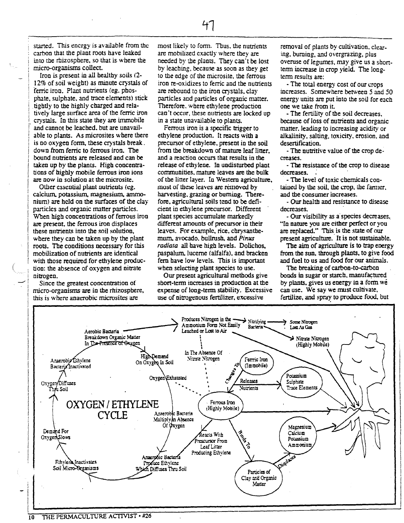started. This energy is available from the carbon that the plant roots have leaked into the rbizosphere, so that is where the micro-organisrns collect.

Iron is present in all healthy soils (2- 12% of soil weight) as minute crystals of ferric iron. Plant nutrients (eg. phosphate, sulphate, and trace elements) stick tightly to the highly charged and relatively large surface area of the ferric iron crystals. In this state they are immobile and cannot be leached. but are unavailable to plants. As microsites where tbere is no oxygen fonn, these crystals break . down from ferric to ferrous iron. The bound nutrients are released and can be taken up by the plants. High concentrations of highly mobile ferrous iron ions are now in solution at the microsite.

Other essential plant nutrients (eg. calcium. potassium. magnesium. anunonium) are held on the surfaces of tbe clay particles and organic matter particles. When high concentrations of ferrous iron are present, the ferrous iron displaces these nutrients into the soil solution, wbere they can be taken up by the plant roots. The conditions necessary for this mobilization of nutrients are identical with those required for ethylene production: the absence of oxygen and nitrate nitrogen.

Since the greatest concentration of micro-organisms are in tbe rhizospbere, this is where anaerobic microsites are

most likely to form. Thus, the nutrients are mobilized exactly where they are needed by tbe plants. They can't be lost by leaching, because as soon as tbey get to the edge of the microsite, tbe ferrous iron re-oxidizes to ferric and tbe nutrients are rebound to the iron crystals, clay particles and particles of organic matter, Therefore, where ethylene production can't occur, these nutrients are locked up in a state unavailable to plants.

Ferrous iron is a specific trigger to ethylene production. It reacts with a precursor of etbylene, present in the soil from tbe breakdown of mature leaf litter, and a reaction occurs that results in tbe release of ethylene. In undisturbed plant communities, mature leaves are the bulk of tbe liner layer. In Western agriculture, most of these leaves are removed by harvesting, grazing or burning. Therefore, agricultural soils tend to be deficient in etbylene precursor. Different plant species accumulate markedly different amounts of precursor in their leaves. For example, rice, chrysanthemwn. avocado. bullrush. and Pinus radiata all have high levels. Dolichos, paspalum.lucerne (alfalfa), and bracken fem bave low levels. This is important when selecting plant species to use.

Our present agricultural metbods give sbort-tenn increases in production at the expense of long-term stability. Excessive use of nitrogenous fertilizer, excessive

removal of plants by cultivation. clearing. burning, and overgrazing, plus overuse of legumes. may give us a shorttenn increase in crop yield. The longterm results are:

- The total energy cost of our crops increases. Somewhere between 5 and 50 energy units are put into the soil for each one we take from it.

- The fertility of tbe soil decreases. because of loss of nutrients and organic matter. leading to increasing acidity or alkalinity, salting, toxicity, erosion, and desertification.

- The nutritive value of the crop de-<br>creases.

- The resistance of the crop to disease decreases.

- The level of toxic chemicals conlaiued by !he soil, ilie crop, lhe fanuer. and the consumer increases.

- Our health and resistance to disease decreases.

- Our visibility as a species decreases. "In nature you are either perfect or you are replaced." This is the state of our present agriculture. It is not sustainable.

The aim of agriculture is to trap energy from tbe sun, through plants. to give food and fuel to us and food for our animals.

The breaking of carbon-to-carbon bonds in sugar or starch, manufactured by plants, gives us energy in a form we can use. We say we must cultivate, fertilize, and spray to produce food, but